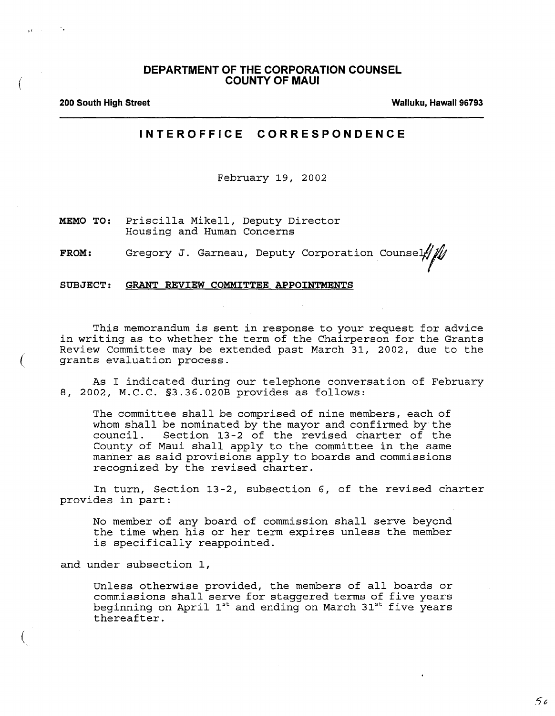## **DEPARTMENT OF THE CORPORATION COUNSEL COUNTY OF MAUl**

(

 $\mathbf{r}$ ,  $\mathbf{r}$ 

(

(

**200 South High Street Wailuku, Hawaii 96793**

## **INTEROFFICE CORRESPONDENCE**

February 19, 2002

**MEMO TO:** Housing and Human Concerns

Gregory J. Garneau, Deputy Corporation Counsel **FROM:**

SUBJECT: GRANT REVIEW COMMITTEE APPOINTMENTS

This memorandum is sent in response to your request for advice in writing as to whether the term of the Chairperson for the Grants Review Committee may be extended past March 31, 2002, due to the grants evaluation process.

As I indicated during our telephone conversation of February 8, 2002, M.C.C. §3.36.020B provides as follows:

The committee shall be comprised of nine members, each of whom shall be nominated by the mayor and confirmed by the council. Section 13-2 of the revised charter of the County of Maui shall apply to the committee in the same manner as said provisions apply to boards and commissions recognized by the revised charter.

In turn, Section 13-2, subsection 6, of the revised charter provides in part:

No member of any board of commission shall serve beyond the time when his or her term expires unless the member is specifically reappointed.

and under subsection I,

Unless otherwise provided, the members of all boards or commissions shall serve for staggered terms of five years beginning on April 1st and ending on March 31st five years thereafter.